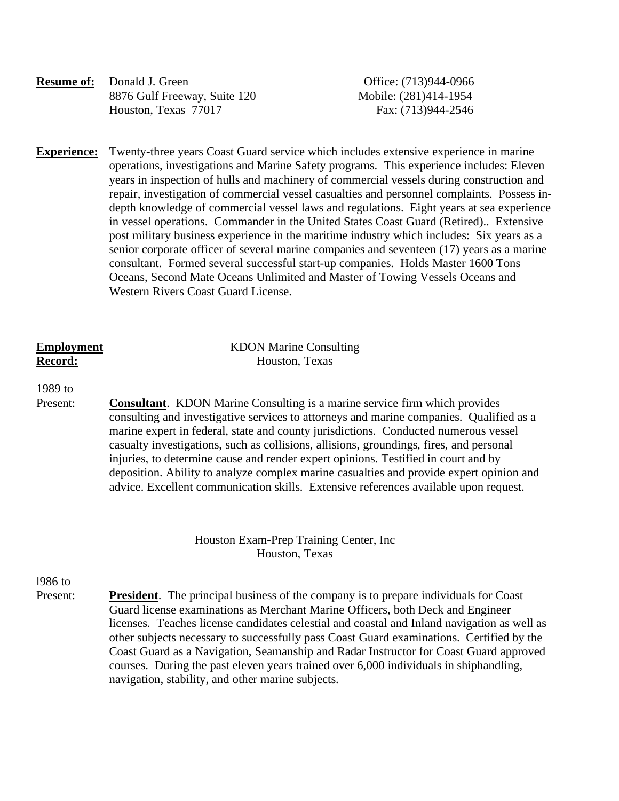| <b>Resume of:</b> Donald J. Green |
|-----------------------------------|
| 8876 Gulf Freeway, Suite 120      |
| Houston, Texas 77017              |

**Office:** (713)944-0966 Mobile: (281)414-1954 Fax: (713)944-2546

**Experience:** Twenty-three years Coast Guard service which includes extensive experience in marine operations, investigations and Marine Safety programs. This experience includes: Eleven years in inspection of hulls and machinery of commercial vessels during construction and repair, investigation of commercial vessel casualties and personnel complaints. Possess indepth knowledge of commercial vessel laws and regulations. Eight years at sea experience in vessel operations. Commander in the United States Coast Guard (Retired).. Extensive post military business experience in the maritime industry which includes: Six years as a senior corporate officer of several marine companies and seventeen (17) years as a marine consultant. Formed several successful start-up companies. Holds Master 1600 Tons Oceans, Second Mate Oceans Unlimited and Master of Towing Vessels Oceans and Western Rivers Coast Guard License.

| <b>Employment</b> | <b>KDON Marine Consulting</b> |
|-------------------|-------------------------------|
| Record:           | Houston, Texas                |

1989 to

 Present: **Consultant**. KDON Marine Consulting is a marine service firm which provides consulting and investigative services to attorneys and marine companies. Qualified as a marine expert in federal, state and county jurisdictions. Conducted numerous vessel casualty investigations, such as collisions, allisions, groundings, fires, and personal injuries, to determine cause and render expert opinions. Testified in court and by deposition. Ability to analyze complex marine casualties and provide expert opinion and advice. Excellent communication skills. Extensive references available upon request.

> Houston Exam-Prep Training Center, Inc Houston, Texas

# l986 to

Present: **President**. The principal business of the company is to prepare individuals for Coast Guard license examinations as Merchant Marine Officers, both Deck and Engineer licenses. Teaches license candidates celestial and coastal and Inland navigation as well as other subjects necessary to successfully pass Coast Guard examinations. Certified by the Coast Guard as a Navigation, Seamanship and Radar Instructor for Coast Guard approved courses. During the past eleven years trained over 6,000 individuals in shiphandling, navigation, stability, and other marine subjects.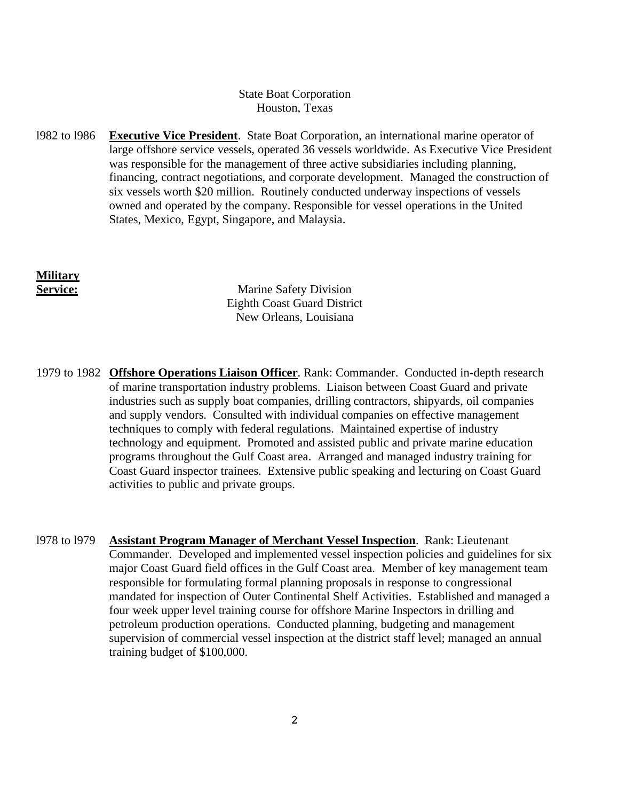## State Boat Corporation Houston, Texas

l982 to l986 **Executive Vice President**. State Boat Corporation, an international marine operator of large offshore service vessels, operated 36 vessels worldwide. As Executive Vice President was responsible for the management of three active subsidiaries including planning, financing, contract negotiations, and corporate development. Managed the construction of six vessels worth \$20 million. Routinely conducted underway inspections of vessels owned and operated by the company. Responsible for vessel operations in the United States, Mexico, Egypt, Singapore, and Malaysia.

**Military**

**Service:** Marine Safety Division Eighth Coast Guard District New Orleans, Louisiana

- 1979 to 1982 **Offshore Operations Liaison Officer**. Rank: Commander. Conducted in-depth research of marine transportation industry problems. Liaison between Coast Guard and private industries such as supply boat companies, drilling contractors, shipyards, oil companies and supply vendors. Consulted with individual companies on effective management techniques to comply with federal regulations. Maintained expertise of industry technology and equipment. Promoted and assisted public and private marine education programs throughout the Gulf Coast area. Arranged and managed industry training for Coast Guard inspector trainees. Extensive public speaking and lecturing on Coast Guard activities to public and private groups.
- l978 to l979 **Assistant Program Manager of Merchant Vessel Inspection**. Rank: Lieutenant Commander. Developed and implemented vessel inspection policies and guidelines for six major Coast Guard field offices in the Gulf Coast area. Member of key management team responsible for formulating formal planning proposals in response to congressional mandated for inspection of Outer Continental Shelf Activities. Established and managed a four week upper level training course for offshore Marine Inspectors in drilling and petroleum production operations. Conducted planning, budgeting and management supervision of commercial vessel inspection at the district staff level; managed an annual training budget of \$100,000.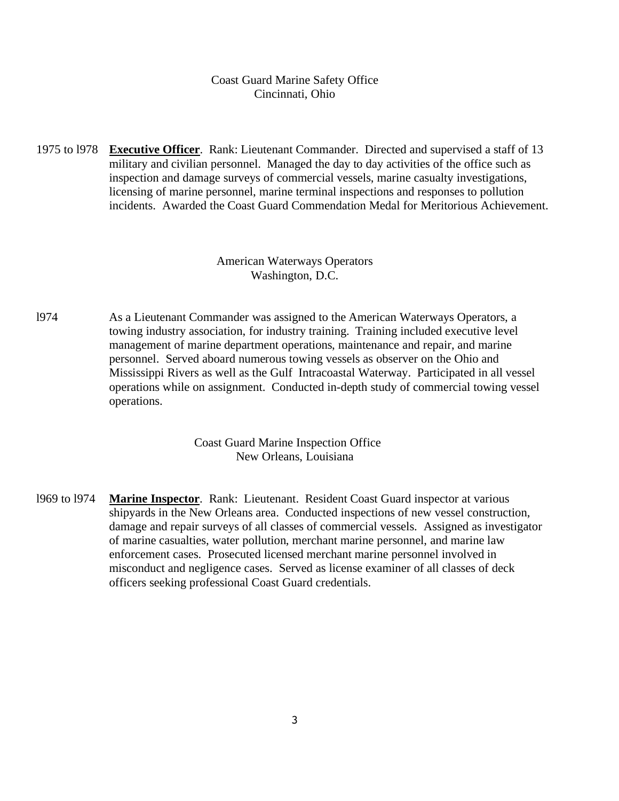Coast Guard Marine Safety Office Cincinnati, Ohio

1975 to l978 **Executive Officer**. Rank: Lieutenant Commander. Directed and supervised a staff of 13 military and civilian personnel. Managed the day to day activities of the office such as inspection and damage surveys of commercial vessels, marine casualty investigations, licensing of marine personnel, marine terminal inspections and responses to pollution incidents. Awarded the Coast Guard Commendation Medal for Meritorious Achievement.

#### American Waterways Operators Washington, D.C.

l974 As a Lieutenant Commander was assigned to the American Waterways Operators, a towing industry association, for industry training. Training included executive level management of marine department operations, maintenance and repair, and marine personnel. Served aboard numerous towing vessels as observer on the Ohio and Mississippi Rivers as well as the Gulf Intracoastal Waterway. Participated in all vessel operations while on assignment. Conducted in-depth study of commercial towing vessel operations.

> Coast Guard Marine Inspection Office New Orleans, Louisiana

l969 to l974 **Marine Inspector**. Rank: Lieutenant. Resident Coast Guard inspector at various shipyards in the New Orleans area. Conducted inspections of new vessel construction, damage and repair surveys of all classes of commercial vessels. Assigned as investigator of marine casualties, water pollution, merchant marine personnel, and marine law enforcement cases. Prosecuted licensed merchant marine personnel involved in misconduct and negligence cases. Served as license examiner of all classes of deck officers seeking professional Coast Guard credentials.